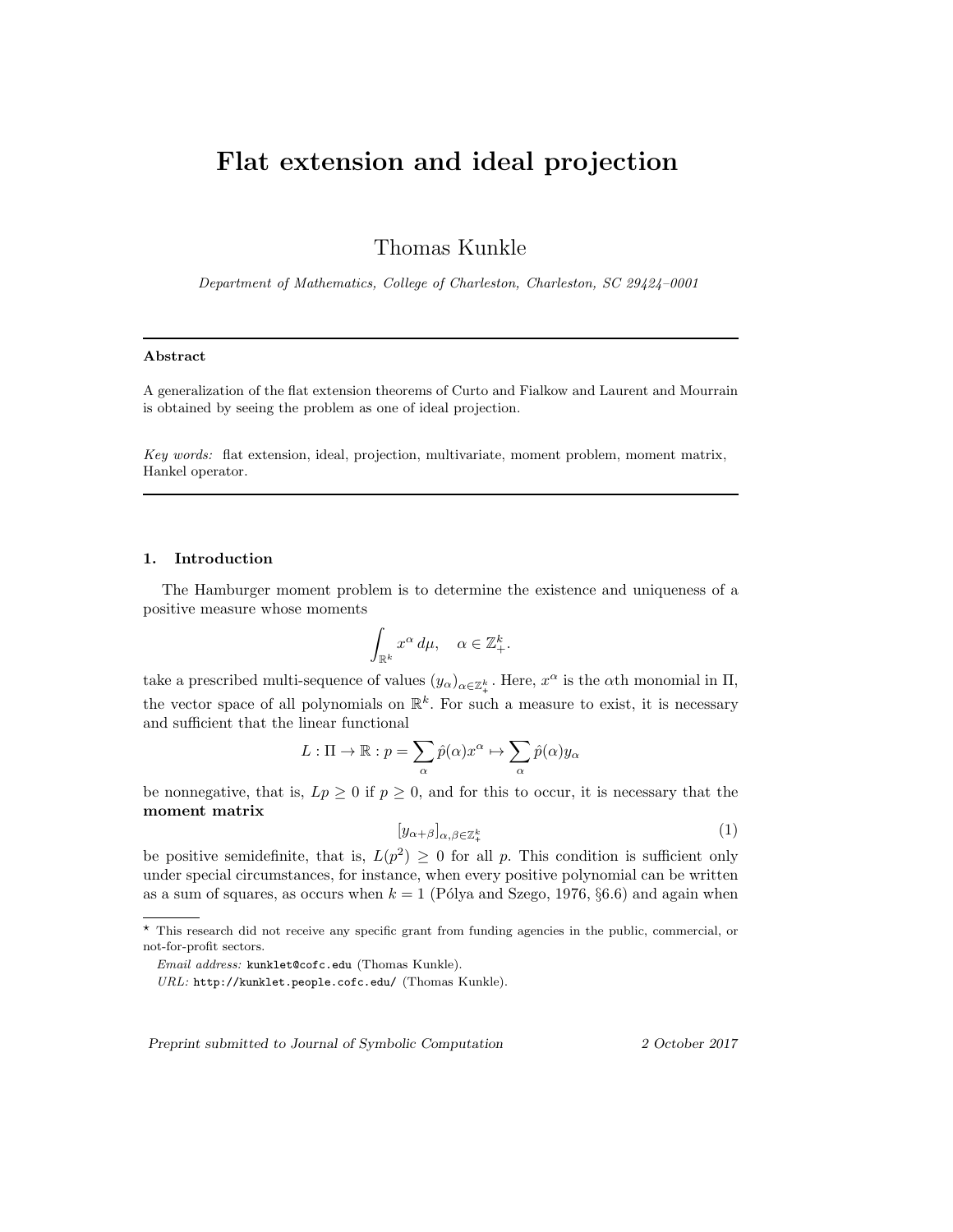# Flat extension and ideal projection

Thomas Kunkle

Department of Mathematics, College of Charleston, Charleston, SC 29424–0001

## Abstract

A generalization of the flat extension theorems of Curto and Fialkow and Laurent and Mourrain is obtained by seeing the problem as one of ideal projection.

Key words: flat extension, ideal, projection, multivariate, moment problem, moment matrix, Hankel operator.

## 1. Introduction

The Hamburger moment problem is to determine the existence and uniqueness of a positive measure whose moments

$$
\int_{\mathbb{R}^k} x^{\alpha} d\mu, \quad \alpha \in \mathbb{Z}_+^k.
$$

take a prescribed multi-sequence of values  $(y_\alpha)_{\alpha \in \mathbb{Z}_+^k}$ . Here,  $x^\alpha$  is the  $\alpha$ th monomial in  $\Pi$ , the vector space of all polynomials on  $\mathbb{R}^k$ . For such a measure to exist, it is necessary and sufficient that the linear functional

$$
L: \Pi \to \mathbb{R}: p = \sum_{\alpha} \hat{p}(\alpha) x^{\alpha} \mapsto \sum_{\alpha} \hat{p}(\alpha) y_{\alpha}
$$

be nonnegative, that is,  $Lp \geq 0$  if  $p \geq 0$ , and for this to occur, it is necessary that the moment matrix

$$
[y_{\alpha+\beta}]_{\alpha,\beta\in\mathbb{Z}_{+}^{k}}
$$
 (1)

be positive semidefinite, that is,  $L(p^2) \geq 0$  for all p. This condition is sufficient only under special circumstances, for instance, when every positive polynomial can be written as a sum of squares, as occurs when  $k = 1$  (Pólya and Szego, 1976, §6.6) and again when

Preprint submitted to Journal of Symbolic Computation 2 October 2017

<sup>⋆</sup> This research did not receive any specific grant from funding agencies in the public, commercial, or not-for-profit sectors.

Email address: kunklet@cofc.edu (Thomas Kunkle).

URL: http://kunklet.people.cofc.edu/ (Thomas Kunkle).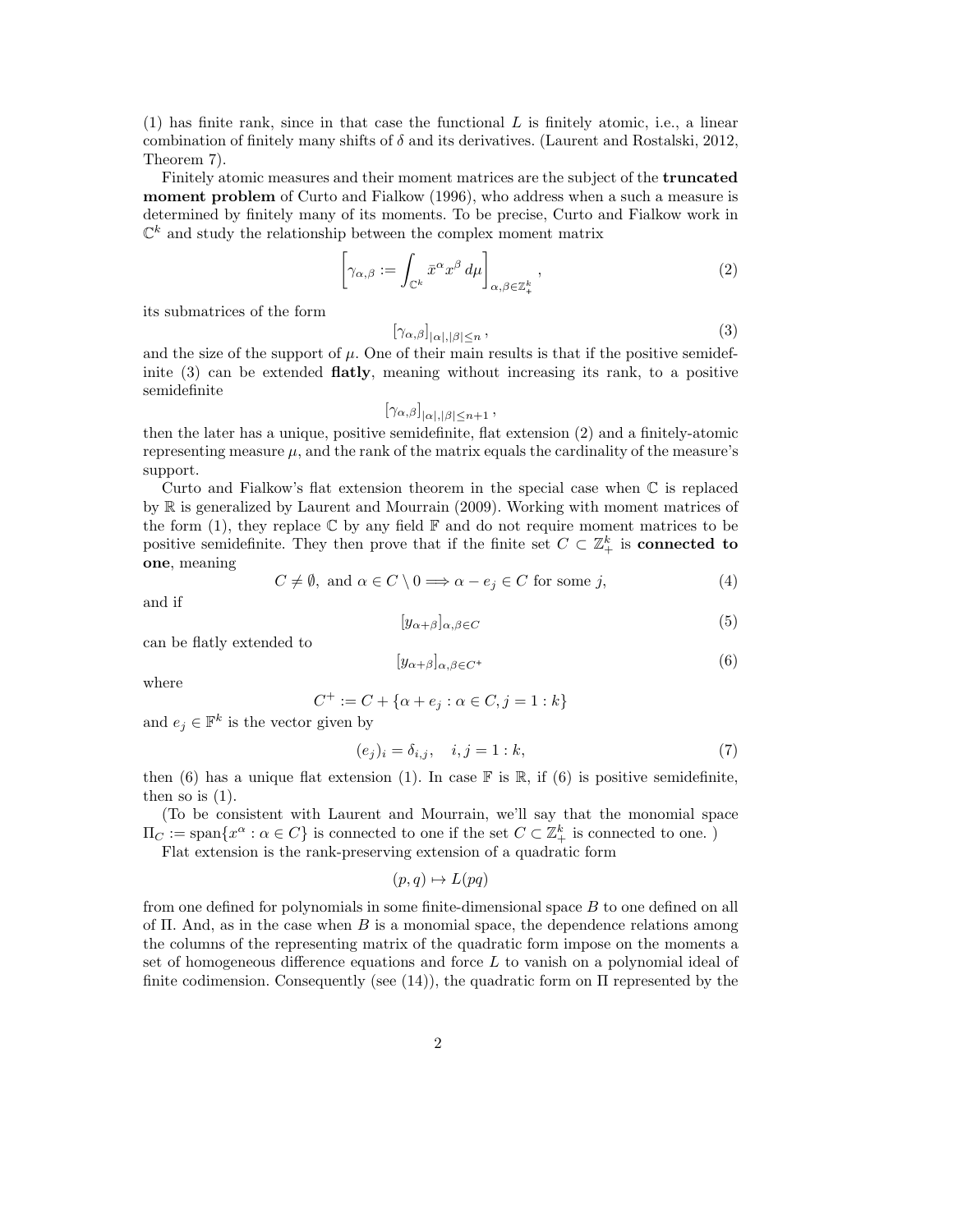$(1)$  has finite rank, since in that case the functional L is finitely atomic, i.e., a linear combination of finitely many shifts of  $\delta$  and its derivatives. (Laurent and Rostalski, 2012, Theorem 7).

Finitely atomic measures and their moment matrices are the subject of the truncated moment problem of Curto and Fialkow (1996), who address when a such a measure is determined by finitely many of its moments. To be precise, Curto and Fialkow work in  $\mathbb{C}^k$  and study the relationship between the complex moment matrix

$$
\left[\gamma_{\alpha,\beta} := \int_{\mathbb{C}^k} \bar{x}^\alpha x^\beta \, d\mu\right]_{\alpha,\beta \in \mathbb{Z}_+^k},\tag{2}
$$

its submatrices of the form

$$
[\gamma_{\alpha,\beta}]_{|\alpha|,|\beta|\leq n},\tag{3}
$$

and the size of the support of  $\mu$ . One of their main results is that if the positive semidefinite (3) can be extended flatly, meaning without increasing its rank, to a positive semidefinite

$$
[\gamma_{\alpha,\beta}]_{|\alpha|,|\beta|\leq n+1},
$$

then the later has a unique, positive semidefinite, flat extension (2) and a finitely-atomic representing measure  $\mu$ , and the rank of the matrix equals the cardinality of the measure's support.

Curto and Fialkow's flat extension theorem in the special case when C is replaced by R is generalized by Laurent and Mourrain (2009). Working with moment matrices of the form (1), they replace  $\mathbb C$  by any field  $\mathbb F$  and do not require moment matrices to be positive semidefinite. They then prove that if the finite set  $C \subset \mathbb{Z}_+^k$  is **connected to** one, meaning

$$
C \neq \emptyset, \text{ and } \alpha \in C \setminus 0 \Longrightarrow \alpha - e_j \in C \text{ for some } j,
$$
\n
$$
(4)
$$

and if

$$
[y_{\alpha+\beta}]_{\alpha,\beta\in C} \tag{5}
$$

can be flatly extended to

$$
[y_{\alpha+\beta}]_{\alpha,\beta\in C^{+}}\tag{6}
$$

where

$$
C^+ := C + \{ \alpha + e_j : \alpha \in C, j = 1 : k \}
$$

and  $e_j \in \mathbb{F}^k$  is the vector given by

$$
(e_j)_i = \delta_{i,j}, \quad i, j = 1:k,
$$
\n
$$
(7)
$$

then (6) has a unique flat extension (1). In case  $\mathbb F$  is  $\mathbb R$ , if (6) is positive semidefinite, then so is  $(1)$ .

(To be consistent with Laurent and Mourrain, we'll say that the monomial space  $\Pi_C := \text{span}\{x^\alpha : \alpha \in C\}$  is connected to one if the set  $C \subset \mathbb{Z}_+^k$  is connected to one.)

Flat extension is the rank-preserving extension of a quadratic form

$$
(p,q) \mapsto L(pq)
$$

from one defined for polynomials in some finite-dimensional space B to one defined on all of  $\Pi$ . And, as in the case when B is a monomial space, the dependence relations among the columns of the representing matrix of the quadratic form impose on the moments a set of homogeneous difference equations and force  $L$  to vanish on a polynomial ideal of finite codimension. Consequently (see  $(14)$ ), the quadratic form on  $\Pi$  represented by the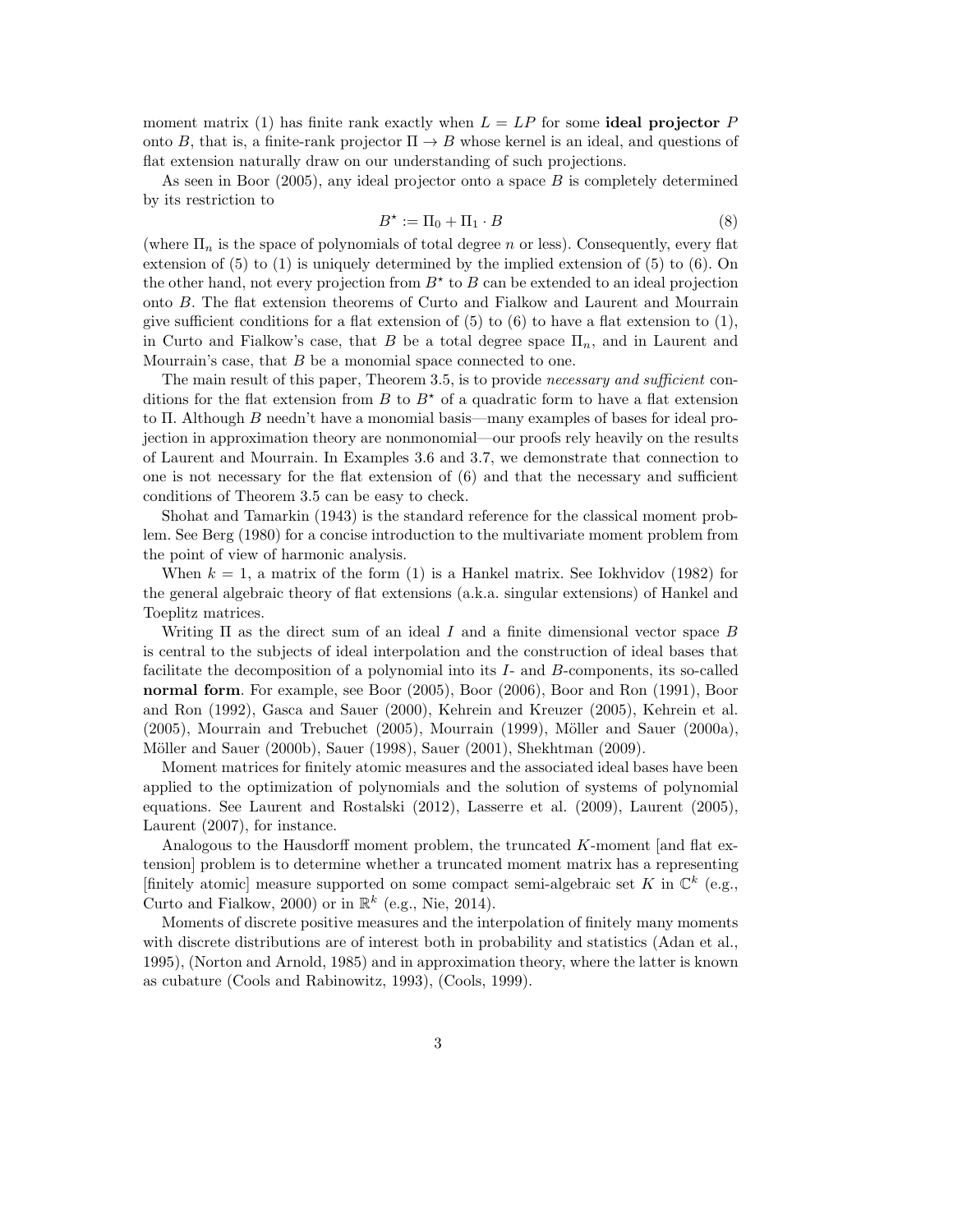moment matrix (1) has finite rank exactly when  $L = LP$  for some **ideal projector** P onto B, that is, a finite-rank projector  $\Pi \to B$  whose kernel is an ideal, and questions of flat extension naturally draw on our understanding of such projections.

As seen in Boor  $(2005)$ , any ideal projector onto a space  $B$  is completely determined by its restriction to

$$
B^* := \Pi_0 + \Pi_1 \cdot B \tag{8}
$$

(where  $\Pi_n$  is the space of polynomials of total degree n or less). Consequently, every flat extension of (5) to (1) is uniquely determined by the implied extension of (5) to (6). On the other hand, not every projection from  $B^*$  to  $B$  can be extended to an ideal projection onto B. The flat extension theorems of Curto and Fialkow and Laurent and Mourrain give sufficient conditions for a flat extension of  $(5)$  to  $(6)$  to have a flat extension to  $(1)$ , in Curto and Fialkow's case, that B be a total degree space  $\Pi_n$ , and in Laurent and Mourrain's case, that  $B$  be a monomial space connected to one.

The main result of this paper, Theorem 3.5, is to provide *necessary and sufficient* conditions for the flat extension from B to  $B^*$  of a quadratic form to have a flat extension to  $\Pi$ . Although B needn't have a monomial basis—many examples of bases for ideal projection in approximation theory are nonmonomial—our proofs rely heavily on the results of Laurent and Mourrain. In Examples 3.6 and 3.7, we demonstrate that connection to one is not necessary for the flat extension of  $(6)$  and that the necessary and sufficient conditions of Theorem 3.5 can be easy to check.

Shohat and Tamarkin (1943) is the standard reference for the classical moment problem. See Berg (1980) for a concise introduction to the multivariate moment problem from the point of view of harmonic analysis.

When  $k = 1$ , a matrix of the form (1) is a Hankel matrix. See Iokhvidov (1982) for the general algebraic theory of flat extensions (a.k.a. singular extensions) of Hankel and Toeplitz matrices.

Writing  $\Pi$  as the direct sum of an ideal I and a finite dimensional vector space B is central to the subjects of ideal interpolation and the construction of ideal bases that facilitate the decomposition of a polynomial into its I- and B-components, its so-called normal form. For example, see Boor (2005), Boor (2006), Boor and Ron (1991), Boor and Ron (1992), Gasca and Sauer (2000), Kehrein and Kreuzer (2005), Kehrein et al.  $(2005)$ , Mourrain and Trebuchet  $(2005)$ , Mourrain  $(1999)$ , Möller and Sauer  $(2000a)$ , Möller and Sauer (2000b), Sauer (1998), Sauer (2001), Shekhtman (2009).

Moment matrices for finitely atomic measures and the associated ideal bases have been applied to the optimization of polynomials and the solution of systems of polynomial equations. See Laurent and Rostalski (2012), Lasserre et al. (2009), Laurent (2005), Laurent (2007), for instance.

Analogous to the Hausdorff moment problem, the truncated  $K$ -moment [and flat extension] problem is to determine whether a truncated moment matrix has a representing [finitely atomic] measure supported on some compact semi-algebraic set K in  $\mathbb{C}^k$  (e.g., Curto and Fialkow, 2000) or in  $\mathbb{R}^k$  (e.g., Nie, 2014).

Moments of discrete positive measures and the interpolation of finitely many moments with discrete distributions are of interest both in probability and statistics (Adan et al., 1995), (Norton and Arnold, 1985) and in approximation theory, where the latter is known as cubature (Cools and Rabinowitz, 1993), (Cools, 1999).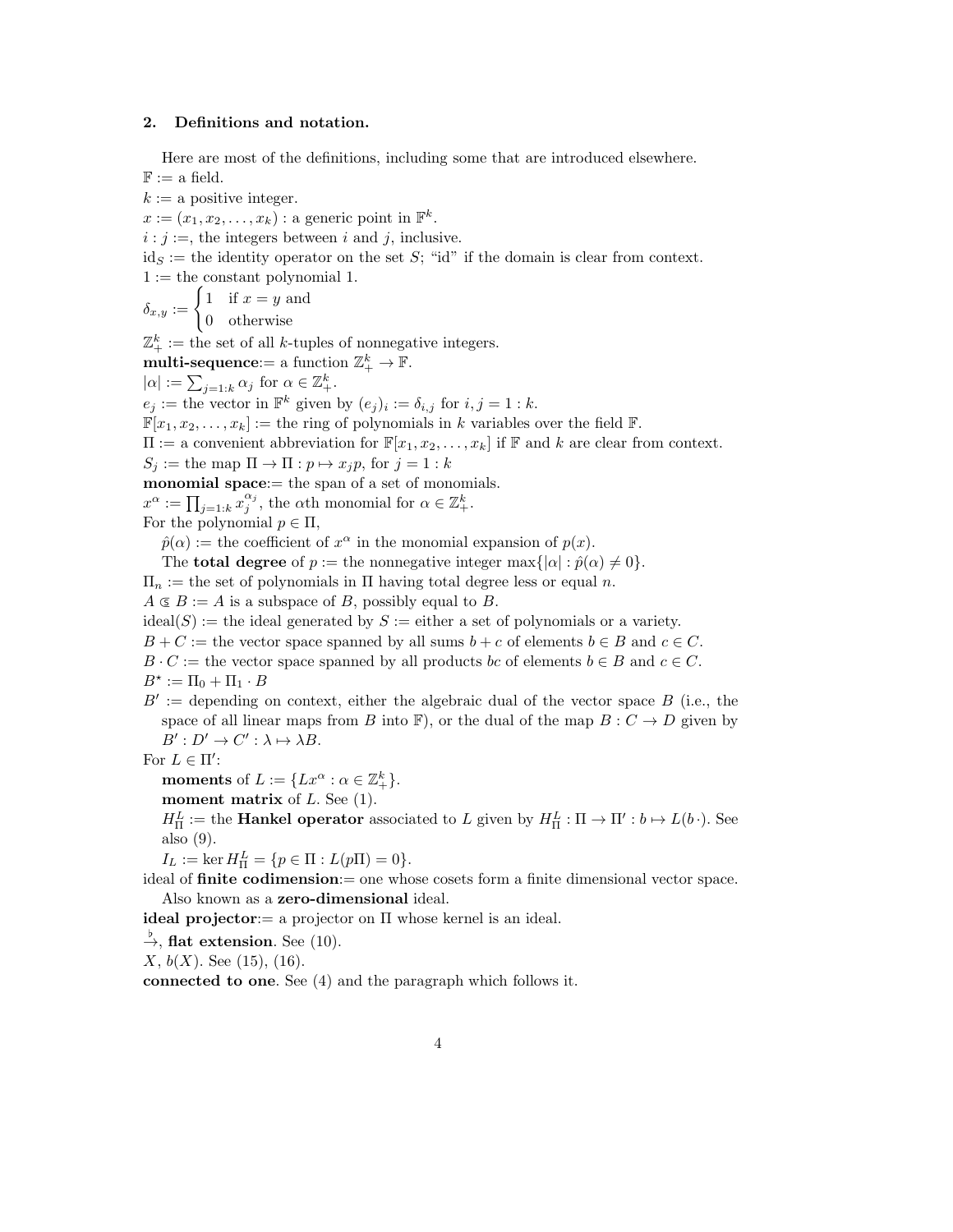# 2. Definitions and notation.

Here are most of the definitions, including some that are introduced elsewhere.

 $\mathbb{F} :=$  a field.  $k := a$  positive integer.  $x := (x_1, x_2, \ldots, x_k)$ : a generic point in  $\mathbb{F}^k$ .  $i : j :=$ , the integers between i and j, inclusive.  $id_S :=$  the identity operator on the set S; "id" if the domain is clear from context.  $1 :=$  the constant polynomial 1.  $\delta_{x,y} := \begin{cases} 1 & \text{if } x=y \text{ and} \\ 0 & \text{otherwise} \end{cases}$ 0 otherwise  $\mathbb{Z}^k_+ :=$  the set of all k-tuples of nonnegative integers.  $\textbf{multi-sequence:} = \text{ a function } \mathbb{Z}_+^k \to \mathbb{F}.$  $|\alpha| := \sum_{j=1:k} \alpha_j$  for  $\alpha \in \mathbb{Z}_+^k$ .  $e_j :=$  the vector in  $\mathbb{F}^k$  given by  $(e_j)_i := \delta_{i,j}$  for  $i, j = 1 : k$ .  $\mathbb{F}[x_1, x_2, \ldots, x_k] :=$  the ring of polynomials in k variables over the field  $\mathbb{F}$ .  $\Pi := \text{a convenient abbreviation for } \mathbb{F}[x_1, x_2, \ldots, x_k]$  if  $\mathbb F$  and k are clear from context.  $S_i :=$  the map  $\Pi \to \Pi : p \mapsto x_i p$ , for  $j = 1 : k$ monomial space:= the span of a set of monomials.  $x^{\alpha} := \prod_{j=1:k} x_j^{\alpha_j}$ , the  $\alpha$ th monomial for  $\alpha \in \mathbb{Z}_{+}^k$ . For the polynomial  $p \in \Pi$ ,  $\hat{p}(\alpha) :=$  the coefficient of  $x^{\alpha}$  in the monomial expansion of  $p(x)$ . The **total degree** of  $p :=$  the nonnegative integer max $\{|\alpha| : \hat{p}(\alpha) \neq 0\}.$  $\Pi_n :=$  the set of polynomials in  $\Pi$  having total degree less or equal n.  $A \subseteq B := A$  is a subspace of B, possibly equal to B.  $\text{ideal}(S) := \text{the ideal generated by } S := \text{either a set of polynomials or a variety.}$  $B + C :=$  the vector space spanned by all sums  $b + c$  of elements  $b \in B$  and  $c \in C$ .  $B \cdot C :=$  the vector space spanned by all products bc of elements  $b \in B$  and  $c \in C$ .  $B^* := \Pi_0 + \Pi_1 \cdot B$  $B' :=$  depending on context, either the algebraic dual of the vector space  $B$  (i.e., the space of all linear maps from B into F), or the dual of the map  $B: C \to D$  given by  $B': D' \to C': \lambda \mapsto \lambda B.$ For  $L \in \Pi'$ : moments of  $L := \{ Lx^{\alpha} : \alpha \in \mathbb{Z}_{+}^{k} \}.$ moment matrix of  $L$ . See  $(1)$ .  $H^L_{\Pi} :=$  the **Hankel operator** associated to L given by  $H^L_{\Pi} : \Pi \to \Pi' : b \mapsto L(b \cdot)$ . See also (9).  $I_L := \ker H^L_{\Pi} = \{p \in \Pi : L(p\Pi) = 0\}.$ ideal of finite codimension:= one whose cosets form a finite dimensional vector space. Also known as a zero-dimensional ideal. ideal projector:  $=$  a projector on  $\Pi$  whose kernel is an ideal.  $\stackrel{\flat}{\rightarrow}$ , flat extension. See (10).  $X, b(X)$ . See (15), (16). connected to one. See (4) and the paragraph which follows it.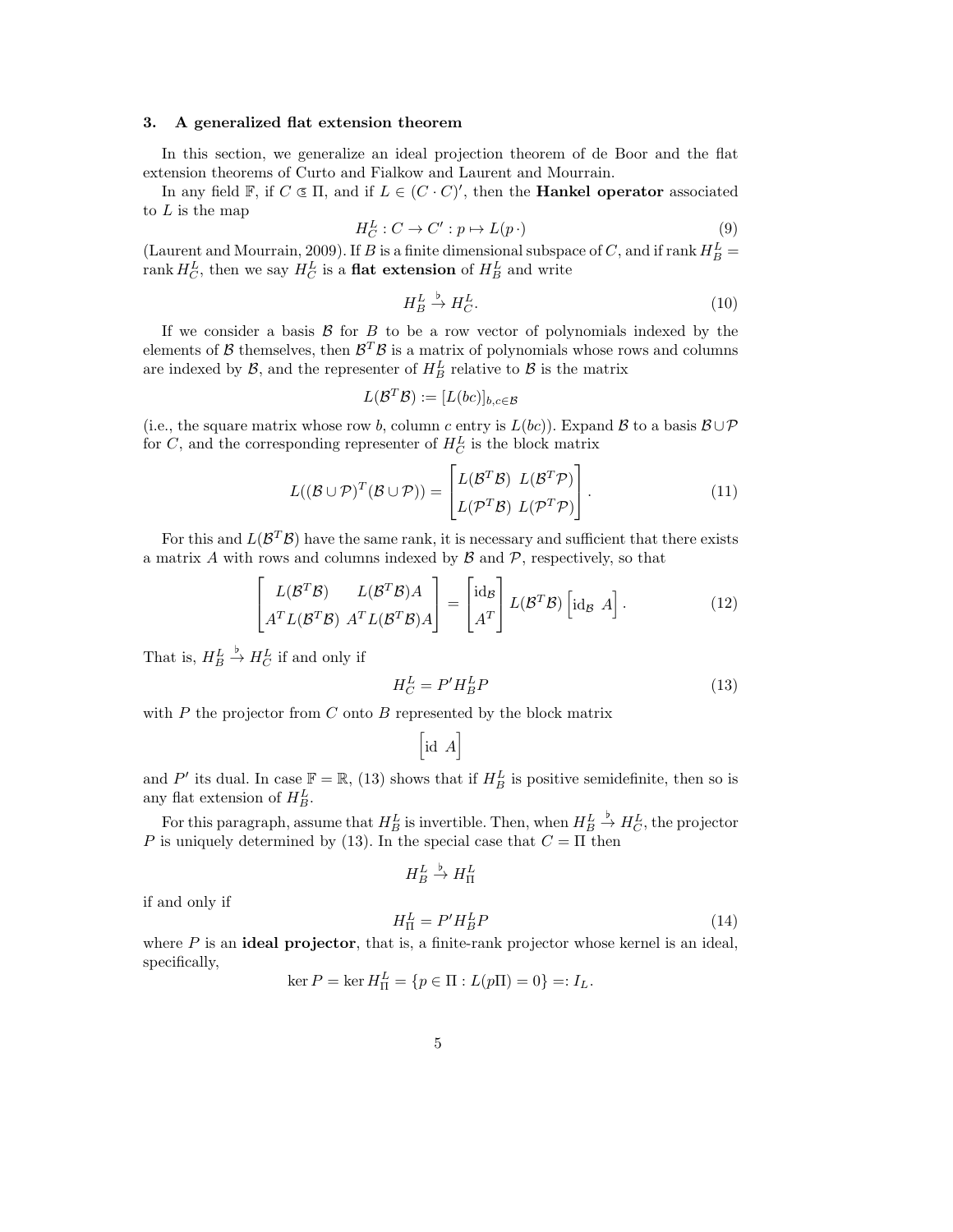## 3. A generalized flat extension theorem

In this section, we generalize an ideal projection theorem of de Boor and the flat extension theorems of Curto and Fialkow and Laurent and Mourrain.

In any field  $\mathbb{F}$ , if  $C \subseteq \Pi$ , and if  $L \in (C \cdot C)'$ , then the **Hankel operator** associated to  $L$  is the map

$$
H_C^L: C \to C': p \mapsto L(p \cdot)
$$
\n<sup>(9)</sup>

(Laurent and Mourrain, 2009). If B is a finite dimensional subspace of C, and if rank  $H_B^L$  =  $\operatorname{rank} H_C^L$ , then we say  $H_C^L$  is a **flat extension** of  $H_B^L$  and write

$$
H_B^L \xrightarrow{b} H_C^L. \tag{10}
$$

If we consider a basis  $\beta$  for  $B$  to be a row vector of polynomials indexed by the elements of  $\mathcal B$  themselves, then  $\mathcal B^T\mathcal B$  is a matrix of polynomials whose rows and columns are indexed by  $\mathcal{B}$ , and the representer of  $H_B^L$  relative to  $\mathcal{B}$  is the matrix

$$
L(\mathcal{B}^T\mathcal{B}) := [L(bc)]_{b,c \in \mathcal{B}}
$$

(i.e., the square matrix whose row b, column c entry is  $L(bc)$ ). Expand B to a basis  $B\cup\mathcal{P}$ for  $C$ , and the corresponding representer of  $H_C^L$  is the block matrix

$$
L((\mathcal{B} \cup \mathcal{P})^T(\mathcal{B} \cup \mathcal{P})) = \begin{bmatrix} L(\mathcal{B}^T \mathcal{B}) & L(\mathcal{B}^T \mathcal{P}) \\ L(\mathcal{P}^T \mathcal{B}) & L(\mathcal{P}^T \mathcal{P}) \end{bmatrix}.
$$
(11)

For this and  $L(\mathcal{B}^T\mathcal{B})$  have the same rank, it is necessary and sufficient that there exists a matrix  $A$  with rows and columns indexed by  $B$  and  $P$ , respectively, so that

$$
\begin{bmatrix} L(\mathcal{B}^T \mathcal{B}) & L(\mathcal{B}^T \mathcal{B})A \\ A^T L(\mathcal{B}^T \mathcal{B}) & A^T L(\mathcal{B}^T \mathcal{B})A \end{bmatrix} = \begin{bmatrix} \mathrm{id}_{\mathcal{B}} \\ A^T \end{bmatrix} L(\mathcal{B}^T \mathcal{B}) \begin{bmatrix} \mathrm{id}_{\mathcal{B}} & A \end{bmatrix}.
$$
 (12)

That is,  $H_B^L$  $\stackrel{\flat}{\rightarrow} H_C^L$  if and only if

$$
H_C^L = P'H_B^L P \tag{13}
$$

with  $P$  the projector from  $C$  onto  $B$  represented by the block matrix

$$
\left[\begin{smallmatrix} \text{id} & A \end{smallmatrix} \right]
$$

and P' its dual. In case  $\mathbb{F} = \mathbb{R}$ , (13) shows that if  $H_B^L$  is positive semidefinite, then so is any flat extension of  $H_B^L$ .

For this paragraph, assume that  $H_B^L$  is invertible. Then, when  $H_B^L$  $\stackrel{\flat}{\rightarrow} H_C^L$ , the projector P is uniquely determined by (13). In the special case that  $C = \Pi$  then

$$
H_B^L \stackrel{\flat}{\to} H_\Pi^L
$$

if and only if

$$
H_{\Pi}^{L} = P'H_{B}^{L}P\tag{14}
$$

where  $P$  is an **ideal projector**, that is, a finite-rank projector whose kernel is an ideal, specifically,

$$
\ker P = \ker H_{\Pi}^{L} = \{ p \in \Pi : L(p\Pi) = 0 \} =: I_{L}.
$$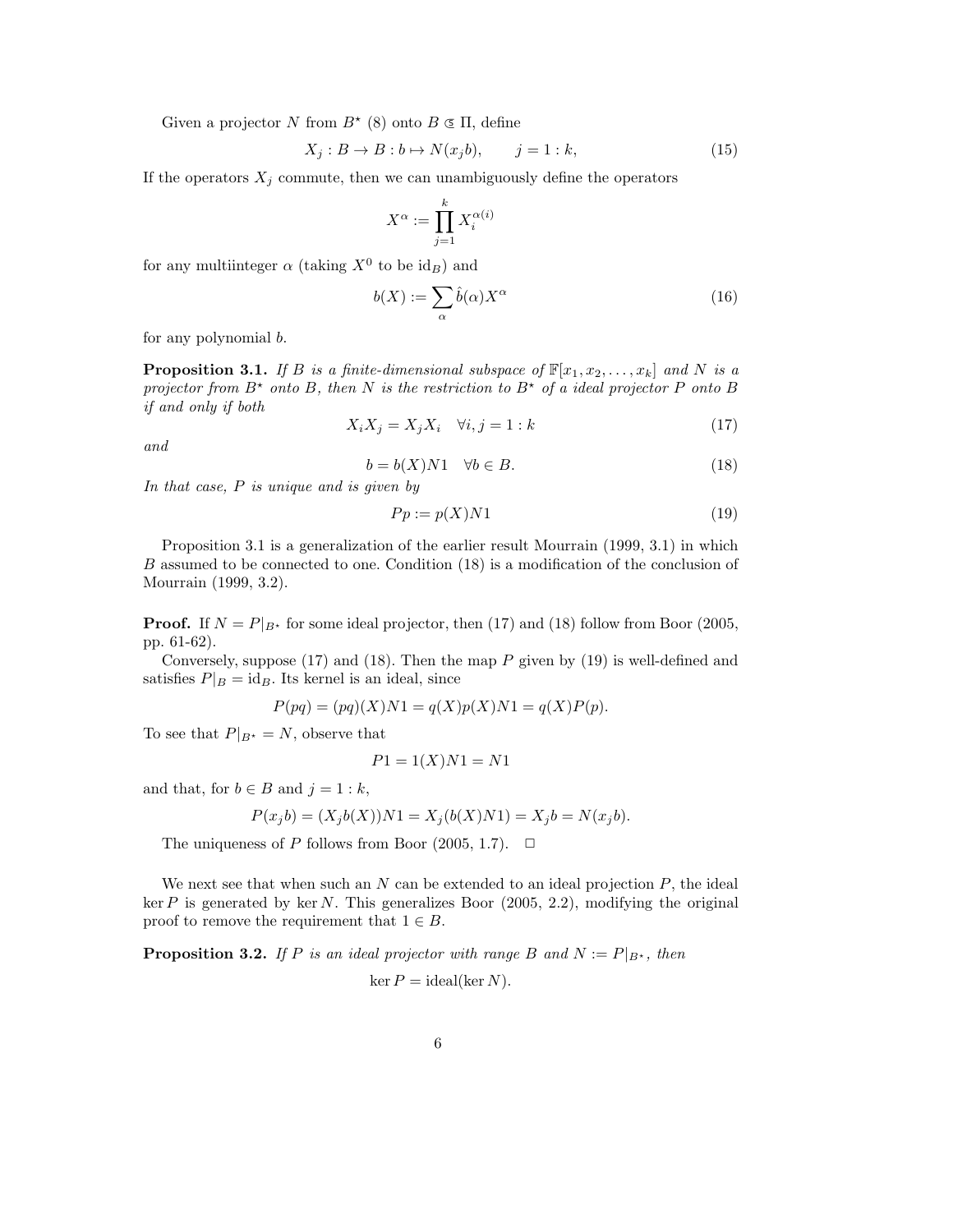Given a projector N from  $B^*$  (8) onto  $B \subseteq \Pi$ , define

$$
X_j: B \to B: b \mapsto N(x_j b), \qquad j = 1: k,
$$
\n<sup>(15)</sup>

If the operators  $X_j$  commute, then we can unambiguously define the operators

$$
X^{\alpha} := \prod_{j=1}^{k} X_i^{\alpha(i)}
$$

for any multiinteger  $\alpha$  (taking  $X^0$  to be  $\mathrm{id}_B$ ) and

$$
b(X) := \sum_{\alpha} \hat{b}(\alpha) X^{\alpha} \tag{16}
$$

for any polynomial b.

**Proposition 3.1.** If B is a finite-dimensional subspace of  $\mathbb{F}[x_1, x_2, \ldots, x_k]$  and N is a projector from  $B^*$  onto B, then N is the restriction to  $B^*$  of a ideal projector P onto B if and only if both

$$
X_i X_j = X_j X_i \quad \forall i, j = 1 : k \tag{17}
$$

and

$$
b = b(X)N1 \quad \forall b \in B. \tag{18}
$$

In that case, P is unique and is given by

$$
Pp := p(X)N1\tag{19}
$$

Proposition 3.1 is a generalization of the earlier result Mourrain (1999, 3.1) in which B assumed to be connected to one. Condition (18) is a modification of the conclusion of Mourrain (1999, 3.2).

**Proof.** If  $N = P|_{B^*}$  for some ideal projector, then (17) and (18) follow from Boor (2005, pp. 61-62).

Conversely, suppose  $(17)$  and  $(18)$ . Then the map P given by  $(19)$  is well-defined and satisfies  $P|_B = id_B$ . Its kernel is an ideal, since

$$
P(pq) = (pq)(X)N1 = q(X)p(X)N1 = q(X)P(p).
$$

To see that  $P|_{B^*} = N$ , observe that

$$
P1 = 1(X)N1 = N1
$$

and that, for  $b \in B$  and  $j = 1 : k$ ,

$$
P(x_j b) = (X_j b(X))N1 = X_j(b(X)N1) = X_j b = N(x_j b).
$$

The uniqueness of P follows from Boor (2005, 1.7).  $\Box$ 

We next see that when such an  $N$  can be extended to an ideal projection  $P$ , the ideal ker P is generated by ker N. This generalizes Boor  $(2005, 2.2)$ , modifying the original proof to remove the requirement that  $1 \in B$ .

**Proposition 3.2.** If P is an ideal projector with range B and  $N := P|_{B^*}$ , then  $\ker P = \text{ideal}(\ker N)$ .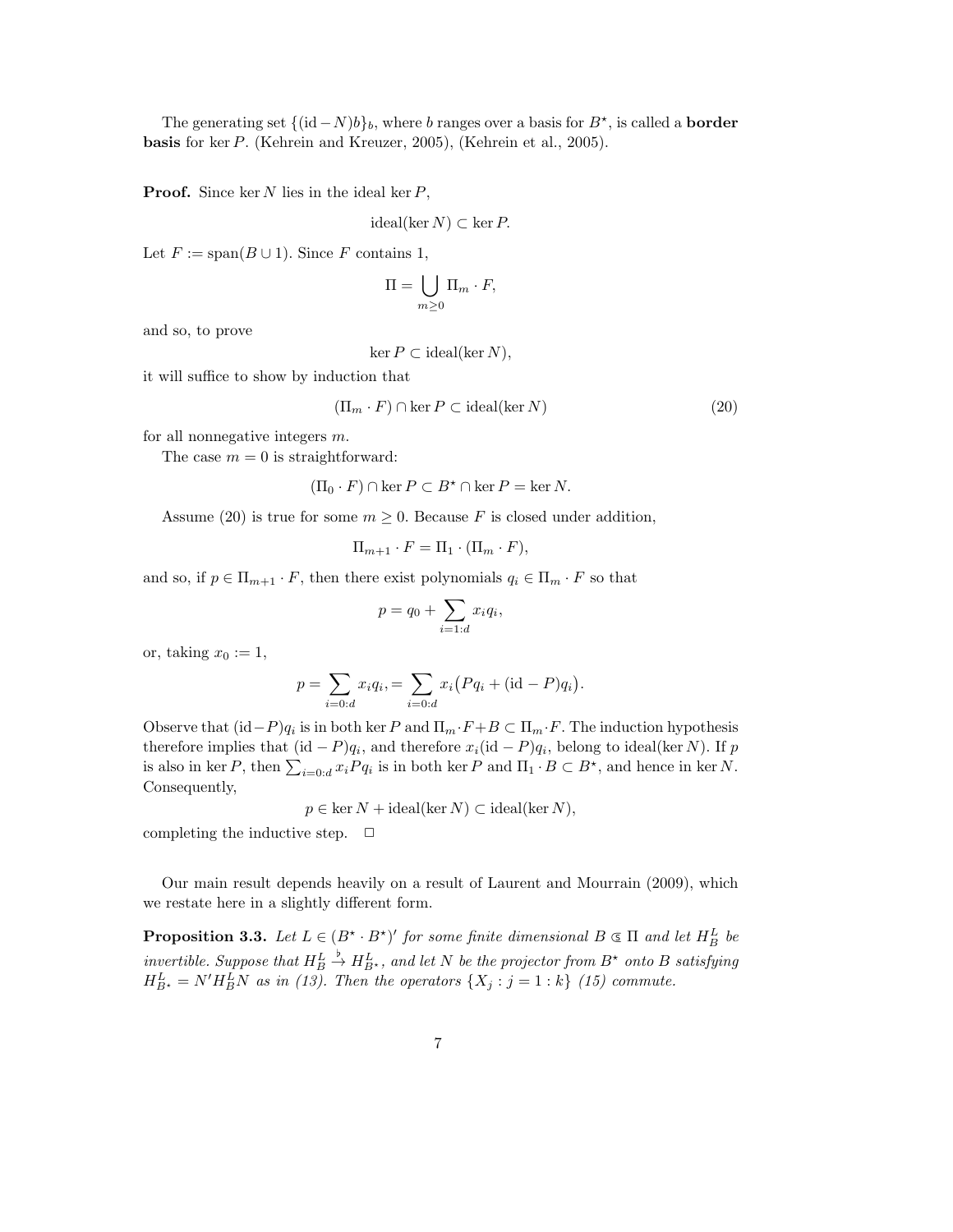The generating set  $\{(\mathrm{id} - N)b\}_b$ , where b ranges over a basis for  $B^*$ , is called a **border** basis for ker P. (Kehrein and Kreuzer, 2005), (Kehrein et al., 2005).

**Proof.** Since ker N lies in the ideal ker  $P$ ,

$$
ideal(\ker N) \subset \ker P.
$$

Let  $F := \text{span}(B \cup 1)$ . Since F contains 1,

$$
\Pi = \bigcup_{m \geq 0} \Pi_m \cdot F,
$$

and so, to prove

 $\ker P \subset \text{ideal}(\ker N),$ 

it will suffice to show by induction that

$$
(\Pi_m \cdot F) \cap \ker P \subset \text{ideal}(\ker N) \tag{20}
$$

for all nonnegative integers  $m$ .

The case  $m = 0$  is straightforward:

$$
(\Pi_0 \cdot F) \cap \ker P \subset B^* \cap \ker P = \ker N.
$$

Assume (20) is true for some  $m \geq 0$ . Because F is closed under addition,

$$
\Pi_{m+1} \cdot F = \Pi_1 \cdot (\Pi_m \cdot F),
$$

and so, if  $p \in \Pi_{m+1} \cdot F$ , then there exist polynomials  $q_i \in \Pi_m \cdot F$  so that

$$
p = q_0 + \sum_{i=1:d} x_i q_i,
$$

or, taking  $x_0 := 1$ ,

$$
p = \sum_{i=0:d} x_i q_i = \sum_{i=0:d} x_i (Pq_i + (\text{id} - P)q_i).
$$

Observe that  $(id-P)q_i$  is in both ker P and  $\Pi_m \cdot F + B \subset \Pi_m \cdot F$ . The induction hypothesis therefore implies that  $(id - P)q_i$ , and therefore  $x_i(id - P)q_i$ , belong to ideal(ker N). If p is also in ker P, then  $\sum_{i=0:d} x_i P q_i$  is in both ker P and  $\Pi_1 \cdot B \subset B^*$ , and hence in ker N. Consequently,

 $p \in \text{ker } N + \text{ideal}(\text{ker } N) \subset \text{ideal}(\text{ker } N),$ 

completing the inductive step.  $\Box$ 

Our main result depends heavily on a result of Laurent and Mourrain (2009), which we restate here in a slightly different form.

**Proposition 3.3.** Let  $L \in (B^* \cdot B^*)'$  for some finite dimensional  $B \subseteq \Pi$  and let  $H_B^L$  be invertible. Suppose that  $H_B^L$  $\stackrel{\flat}{\rightarrow} H^L_{B^{\star}}$ , and let N be the projector from  $B^{\star}$  onto B satisfying  $H_{B^{\star}}^L = N'H_B^LN$  as in (13). Then the operators  $\{X_j : j = 1 : k\}$  (15) commute.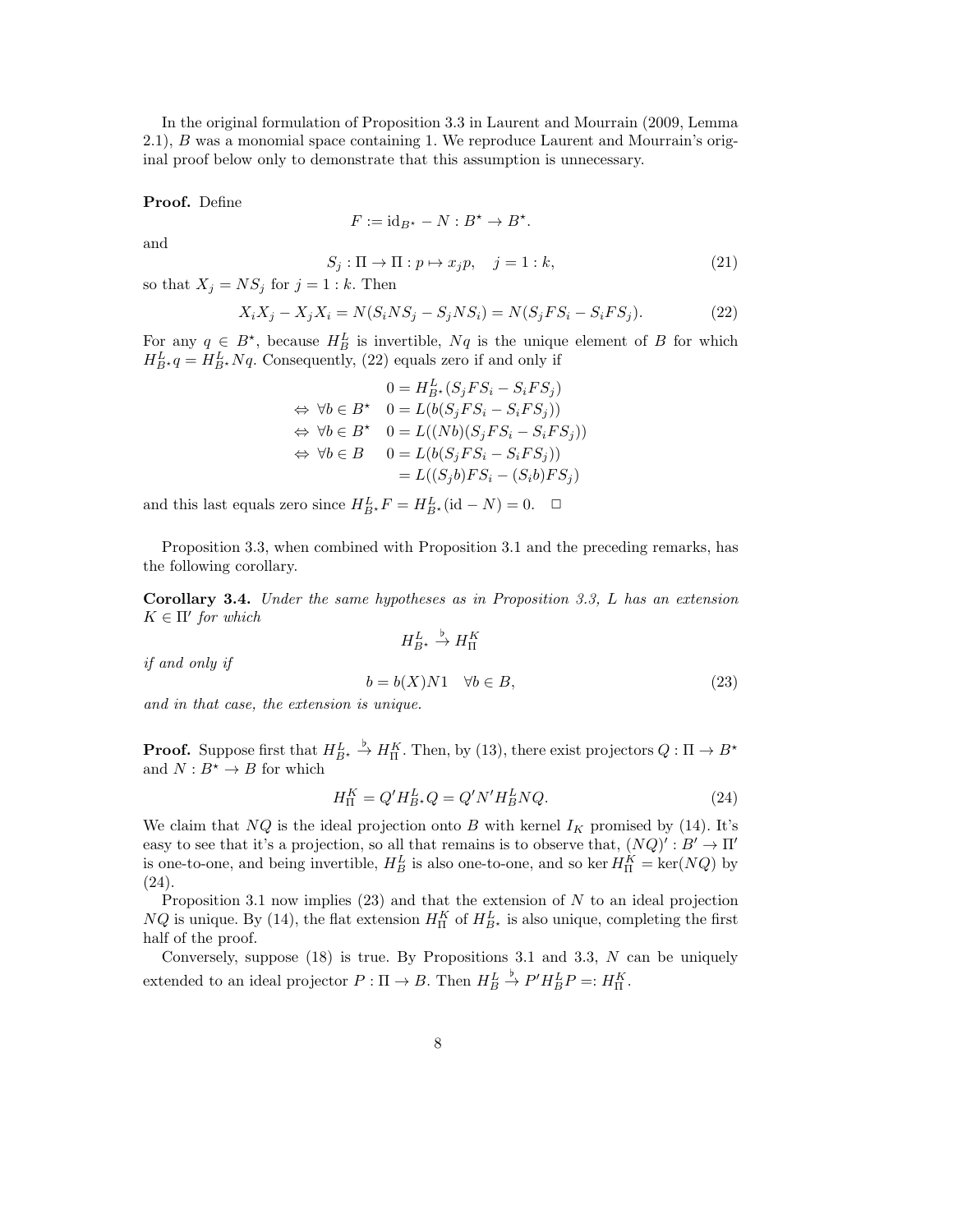In the original formulation of Proposition 3.3 in Laurent and Mourrain (2009, Lemma 2.1), B was a monomial space containing 1. We reproduce Laurent and Mourrain's original proof below only to demonstrate that this assumption is unnecessary.

## Proof. Define

$$
F:=\mathrm{id}_{B^\star}-N:B^\star\to B^\star.
$$

and

$$
S_j: \Pi \to \Pi : p \mapsto x_j p, \quad j = 1 : k,
$$
\n<sup>(21)</sup>

so that  $X_j = NS_j$  for  $j = 1 : k$ . Then

$$
X_i X_j - X_j X_i = N(S_i N S_j - S_j N S_i) = N(S_j F S_i - S_i F S_j).
$$
 (22)

For any  $q \in B^*$ , because  $H_B^L$  is invertible,  $Nq$  is the unique element of B for which  $H_{B^*}^L q = H_{B^*}^L N q$ . Consequently, (22) equals zero if and only if

$$
0 = H_{B^*}^L(S_j FS_i - S_i FS_j)
$$
  
\n
$$
\Leftrightarrow \forall b \in B^* \quad 0 = L(b(S_j FS_i - S_i FS_j))
$$
  
\n
$$
\Leftrightarrow \forall b \in B^* \quad 0 = L((Nb)(S_j FS_i - S_i FS_j))
$$
  
\n
$$
\Leftrightarrow \forall b \in B \quad 0 = L(b(S_j FS_i - S_i FS_j))
$$
  
\n
$$
= L((S_j b) FS_i - (S_i b) FS_j)
$$

and this last equals zero since  $H_{B^*}^L F = H_{B^*}^L(\text{id} - N) = 0. \quad \Box$ 

Proposition 3.3, when combined with Proposition 3.1 and the preceding remarks, has the following corollary.

Corollary 3.4. Under the same hypotheses as in Proposition 3.3, L has an extension  $K \in \Pi'$  for which  $H^L_{B^{\star}} \stackrel{\flat}{\rightarrow} H_{\Pi}^K$ 

$$
if\ and\ only\ if
$$

$$
b = b(X)N1 \quad \forall b \in B,\tag{23}
$$

and in that case, the extension is unique.

**Proof.** Suppose first that  $H_{B^*}^L$  $\stackrel{\flat}{\rightarrow} H_{\Pi}^{K}$ . Then, by (13), there exist projectors  $Q: \Pi \rightarrow B^{\star}$ and  $N:B^{\star}\rightarrow B$  for which

$$
H_{\Pi}^{K} = Q'H_{B}^{L}, Q = Q'N'H_{B}^{L}NQ.
$$
\n(24)

We claim that NQ is the ideal projection onto B with kernel  $I_K$  promised by (14). It's easy to see that it's a projection, so all that remains is to observe that,  $(NQ)' : B' \to \Pi'$ is one-to-one, and being invertible,  $H_B^L$  is also one-to-one, and so ker  $H_{\Pi}^K = \text{ker}(NQ)$  by (24).

Proposition 3.1 now implies  $(23)$  and that the extension of N to an ideal projection  $NQ$  is unique. By (14), the flat extension  $H_{\Pi}^K$  of  $H_{B\star}^L$  is also unique, completing the first half of the proof.

Conversely, suppose  $(18)$  is true. By Propositions 3.1 and 3.3, N can be uniquely extended to an ideal projector  $P: \Pi \to B$ . Then  $H_B^L$  $\stackrel{\flat}{\rightarrow} P'H^L_BP=:H^K_{\Pi}.$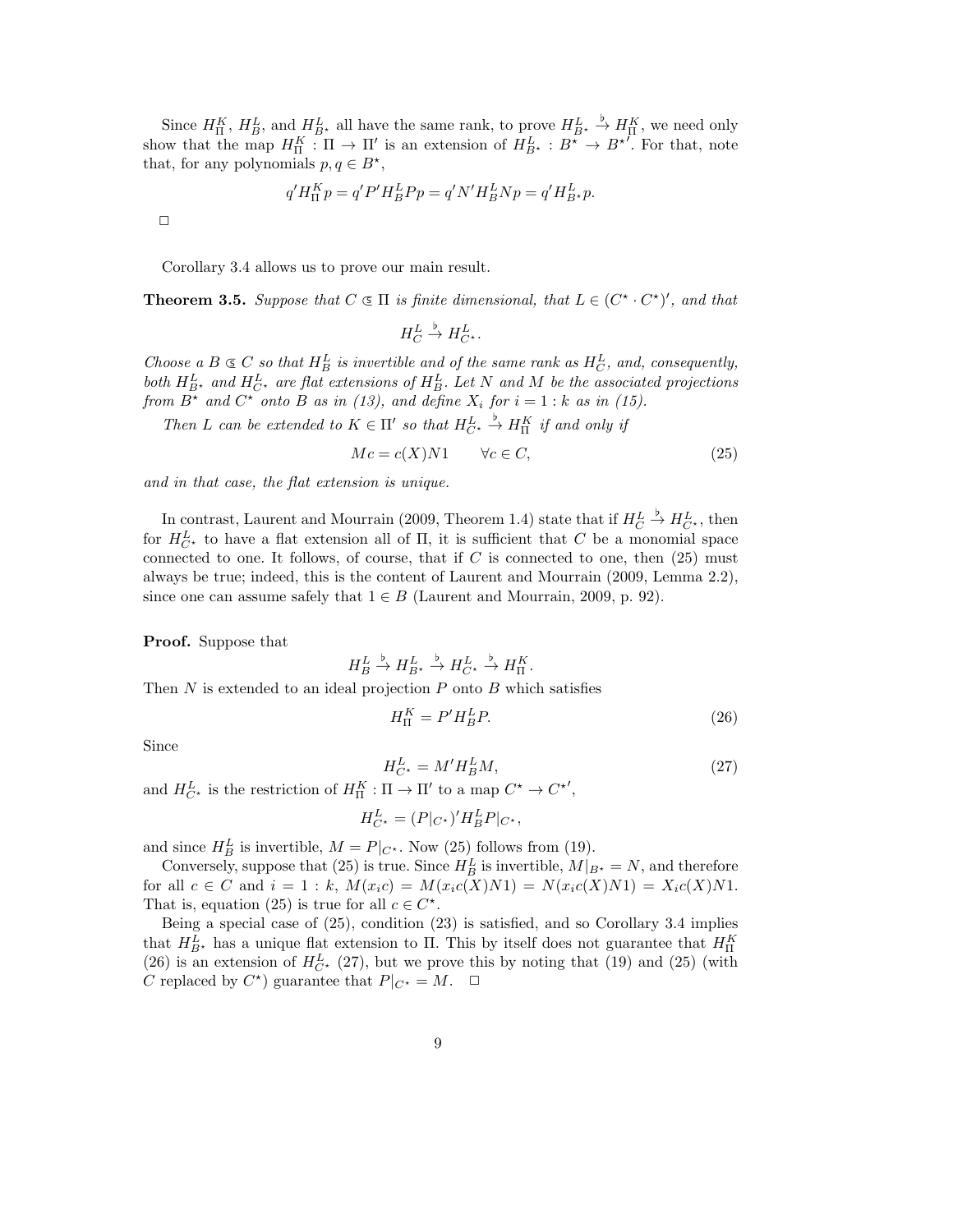Since  $H_{\Pi}^K$ ,  $H_B^L$ , and  $H_{B*}^L$  all have the same rank, to prove  $H_{B*}^L \stackrel{b}{\to} H_{\Pi}^K$ , we need only show that the map  $H^K_{\Pi} : \Pi \to \Pi'$  is an extension of  $H^L_{B^*} : B^* \to B^{*'}$ . For that, note that, for any polynomials  $p, q \in B^*$ ,

$$
q'H_{\Pi}^K p = q'P'H_B^L P p = q'N'H_B^L N p = q'H_{B^*}^L p.
$$

 $\Box$ 

Corollary 3.4 allows us to prove our main result.

**Theorem 3.5.** Suppose that  $C \subseteq \Pi$  is finite dimensional, that  $L \in (C^* \cdot C^*)'$ , and that

 $H_C^L$  $\stackrel{\flat}{\to} H^L_{C^*}.$ 

Choose a  $B \subseteq C$  so that  $H_B^L$  is invertible and of the same rank as  $H_C^L$ , and, consequently, both  $H_{B^*}^L$  and  $H_{C^*}^L$  are flat extensions of  $H_B^L$ . Let N and M be the associated projections from  $B^*$  and  $C^*$  onto B as in (13), and define  $X_i$  for  $i = 1:k$  as in (15).

Then L can be extended to  $K \in \Pi'$  so that  $H^L_{C^*} \stackrel{\flat}{\to} H^K_{\Pi}$  if and only if

$$
Mc = c(X)N1 \qquad \forall c \in C,
$$
\n
$$
(25)
$$

and in that case, the flat extension is unique.

In contrast, Laurent and Mourrain (2009, Theorem 1.4) state that if  $H_C^L$  $\stackrel{\flat}{\rightarrow} H^L_{C^*}$ , then for  $H_{C^{\star}}^{L}$  to have a flat extension all of  $\Pi$ , it is sufficient that C be a monomial space connected to one. It follows, of course, that if  $C$  is connected to one, then  $(25)$  must always be true; indeed, this is the content of Laurent and Mourrain (2009, Lemma 2.2), since one can assume safely that  $1 \in B$  (Laurent and Mourrain, 2009, p. 92).

Proof. Suppose that

$$
H_B^L \xrightarrow{b} H_{B^*}^L \xrightarrow{b} H_{C^*}^L \xrightarrow{b} H_{\Pi}^K.
$$
  
Then N is extended to an ideal projection P onto B which satisfies

$$
H_{\Pi}^K = P'H_B^LP. \tag{26}
$$

Since

$$
H_{C^*}^L = M'H_B^LM,\tag{27}
$$

and  $H_{C^*}^L$  is the restriction of  $H_{\Pi}^K : \Pi \to \Pi'$  to a map  $C^* \to C^{*'}$ ,

$$
H^L_{C^*} = (P|_{C^*})' H^L_B P|_{C^*},
$$

and since  $H_B^L$  is invertible,  $M = P|_{C^*}$ . Now (25) follows from (19).

Conversely, suppose that (25) is true. Since  $H_B^L$  is invertible,  $M|_{B^*} = N$ , and therefore for all  $c \in C$  and  $i = 1 : k$ ,  $M(x_i c) = M(x_i c(X)N1) = N(x_i c(X)N1) = X_i c(X)N1$ . That is, equation (25) is true for all  $c \in C^*$ .

Being a special case of (25), condition (23) is satisfied, and so Corollary 3.4 implies that  $H_{B^*}^L$  has a unique flat extension to  $\Pi$ . This by itself does not guarantee that  $H_{\Pi}^K$ (26) is an extension of  $H_{C^*}^L$  (27), but we prove this by noting that (19) and (25) (with C replaced by  $C^*$ ) guarantee that  $P|_{C^*} = M$ .  $\Box$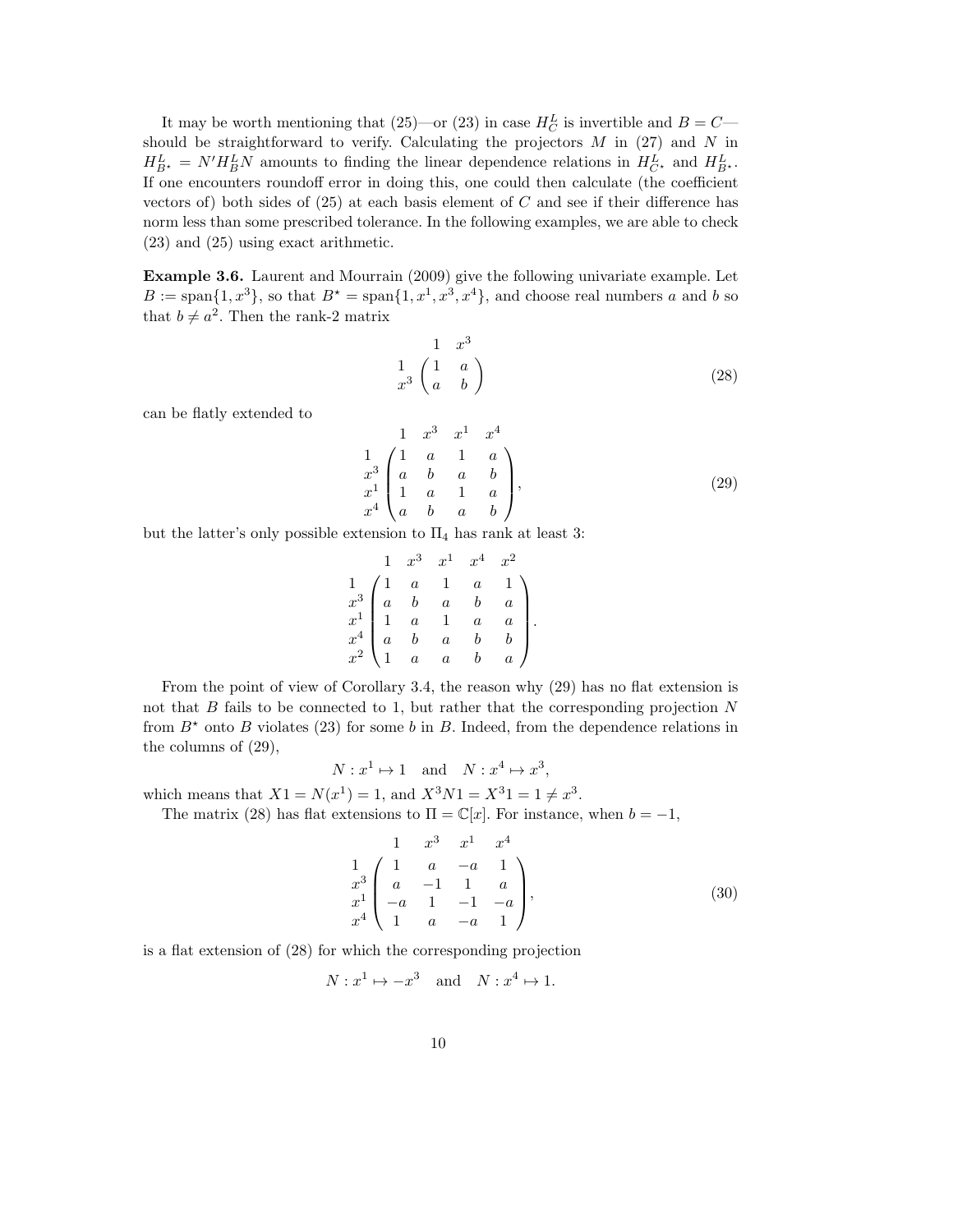It may be worth mentioning that (25)—or (23) in case  $H_C^L$  is invertible and  $B = C$  should be straightforward to verify. Calculating the projectors  $M$  in (27) and  $N$  in  $H_{B^*}^L = N'H_B^LN$  amounts to finding the linear dependence relations in  $H_{C^*}^L$  and  $H_{B^*}^L$ . If one encounters roundoff error in doing this, one could then calculate (the coefficient vectors of) both sides of  $(25)$  at each basis element of C and see if their difference has norm less than some prescribed tolerance. In the following examples, we are able to check (23) and (25) using exact arithmetic.

Example 3.6. Laurent and Mourrain (2009) give the following univariate example. Let  $B := \text{span}\{1, x^3\}$ , so that  $B^* = \text{span}\{1, x^1, x^3, x^4\}$ , and choose real numbers a and b so that  $b \neq a^2$ . Then the rank-2 matrix

$$
\begin{pmatrix}\n1 & x^3 \\
1 & a \\
a & b\n\end{pmatrix}
$$
\n(28)

can be flatly extended to

$$
\begin{array}{ccc}\n & 1 & x^3 & x^1 & x^4 \\
1 & 1 & a & 1 & a \\
x^3 & a & b & a & b \\
x^1 & 1 & a & 1 & a \\
x^4 & a & b & a & b\n\end{array}
$$
\n(29)

but the latter's only possible extension to  $\Pi_4$  has rank at least 3:

$$
\begin{array}{ccccccccc}\n & & 1 & x^3 & x^1 & x^4 & x^2 \\
1 & & 1 & a & 1 & a & 1 \\
x^3 & a & b & a & b & a \\
x^4 & a & b & a & b & b \\
x^2 & 1 & a & a & b & a\n\end{array}
$$

From the point of view of Corollary 3.4, the reason why  $(29)$  has no flat extension is not that  $B$  fails to be connected to 1, but rather that the corresponding projection  $N$ from  $B^*$  onto B violates (23) for some b in B. Indeed, from the dependence relations in the columns of (29),

 $N: x^1 \mapsto 1$  and  $N: x^4 \mapsto x^3$ ,

which means that  $X1 = N(x^1) = 1$ , and  $X^3N1 = X^31 = 1 \neq x^3$ .

The matrix (28) has flat extensions to  $\Pi = \mathbb{C}[x]$ . For instance, when  $b = -1$ ,

$$
\begin{array}{ccc}\n & 1 & x^3 & x^1 & x^4 \\
1 & 1 & a & -a & 1 \\
x^3 & a & -1 & 1 & a \\
x^4 & -a & 1 & -1 & -a \\
x^4 & 1 & a & -a & 1\n\end{array}
$$
\n(30)

is a flat extension of (28) for which the corresponding projection

$$
N: x^1 \mapsto -x^3 \quad \text{and} \quad N: x^4 \mapsto 1.
$$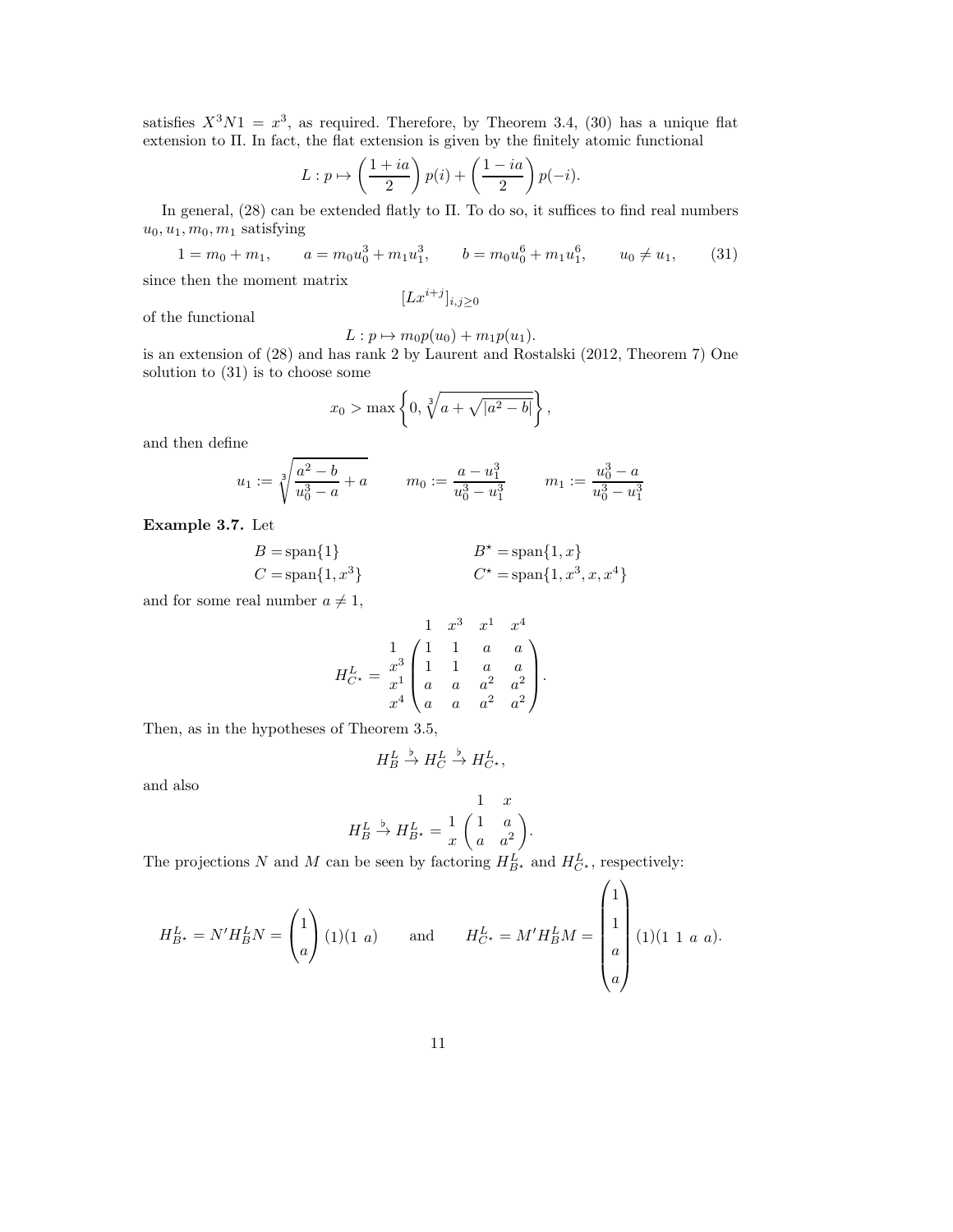satisfies  $X^3N1 = x^3$ , as required. Therefore, by Theorem 3.4, (30) has a unique flat extension to Π. In fact, the flat extension is given by the finitely atomic functional

$$
L: p \mapsto \left(\frac{1+ia}{2}\right)p(i) + \left(\frac{1-ia}{2}\right)p(-i).
$$

In general, (28) can be extended flatly to Π. To do so, it suffices to find real numbers  $u_0, u_1, m_0, m_1$  satisfying

 $1 = m_0 + m_1,$  $b = m_0 u_0^6 + m_1 u_1^6$ ,  $u_0 \neq u_1$ , (31)

since then the moment matrix

 $[Lx^{i+j}]_{i,j\geq 0}$ 

of the functional

$$
L: p \mapsto m_0 p(u_0) + m_1 p(u_1).
$$

is an extension of (28) and has rank 2 by Laurent and Rostalski (2012, Theorem 7) One solution to (31) is to choose some

$$
x_0 > \max \left\{ 0, \sqrt[3]{a + \sqrt{|a^2 - b|}} \right\},\,
$$

and then define

$$
u_1 := \sqrt[3]{\frac{a^2 - b}{u_0^3 - a} + a} \qquad m_0 := \frac{a - u_1^3}{u_0^3 - u_1^3} \qquad m_1 := \frac{u_0^3 - a}{u_0^3 - u_1^3}
$$

Example 3.7. Let

$$
B = \text{span}\{1\}
$$
  
\n
$$
B^* = \text{span}\{1, x\}
$$
  
\n
$$
C^* = \text{span}\{1, x^3, x, x^4\}
$$

and for some real number  $a \neq 1$ ,

$$
H_{C*}^{L} = \begin{pmatrix} 1 & x^3 & x^1 & x^4 \\ 1 & 1 & a & a \\ x^3 & 1 & 1 & a & a \\ a & a & a^2 & a^2 \\ x^4 & a & a & a^2 & a^2 \end{pmatrix}.
$$

Then, as in the hypotheses of Theorem 3.5,

$$
H_B^L \xrightarrow{b} H_C^L \xrightarrow{b} H_{C^*}^L,
$$

and also

$$
H_B^L \xrightarrow{b} H_{B^*}^L = \frac{1}{x} \begin{pmatrix} 1 & a \\ a & a^2 \end{pmatrix}.
$$

The projections N and M can be seen by factoring  $H_{B^*}^L$  and  $H_{C^*}^L$ , respectively:

$$
H_{B^{\star}}^{L} = N'H_{B}^{L}N = \begin{pmatrix} 1 \\ a \end{pmatrix} (1)(1 \ a) \quad \text{and} \quad H_{C^{\star}}^{L} = M'H_{B}^{L}M = \begin{pmatrix} 1 \\ 1 \\ a \\ a \end{pmatrix} (1)(1 \ 1 \ a \ a).
$$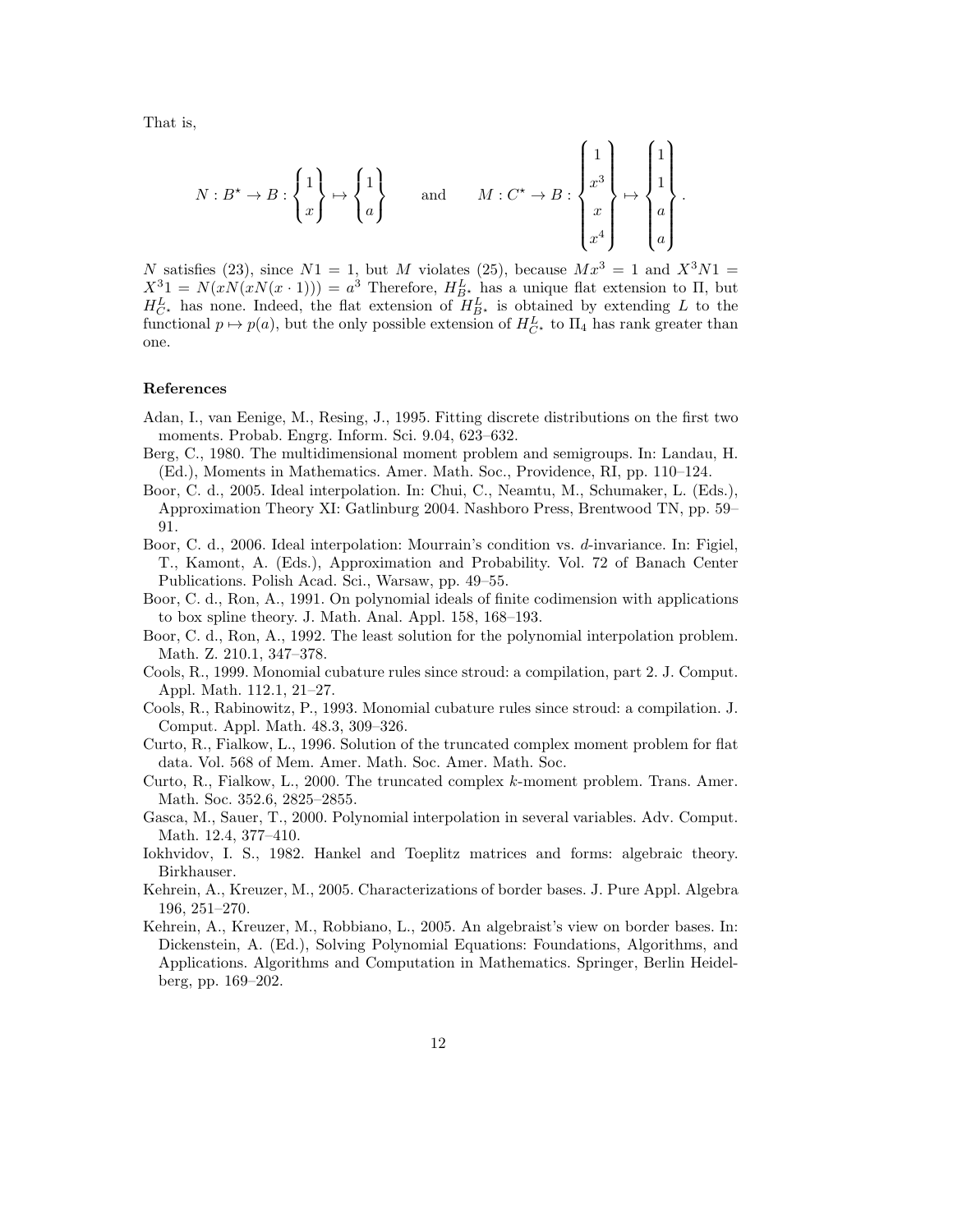That is,

$$
N: B^{\star} \to B: \begin{Bmatrix} 1 \\ x \end{Bmatrix} \mapsto \begin{Bmatrix} 1 \\ a \end{Bmatrix} \quad \text{and} \quad M: C^{\star} \to B: \begin{Bmatrix} 1 \\ x^3 \\ x \\ x^4 \end{Bmatrix} \mapsto \begin{Bmatrix} 1 \\ 1 \\ a \\ a \end{Bmatrix}.
$$

N satisfies (23), since  $N1 = 1$ , but M violates (25), because  $Mx^3 = 1$  and  $X^3N1 =$  $X^3 = N(xN(xN(x \cdot 1))) = a^3$  Therefore,  $H_{B^*}^L$  has a unique flat extension to  $\Pi$ , but  $H_{C^*}^L$  has none. Indeed, the flat extension of  $H_{B^*}^L$  is obtained by extending L to the functional  $p \mapsto p(a)$ , but the only possible extension of  $H_{C^*}^L$  to  $\Pi_4$  has rank greater than one.

#### References

- Adan, I., van Eenige, M., Resing, J., 1995. Fitting discrete distributions on the first two moments. Probab. Engrg. Inform. Sci. 9.04, 623–632.
- Berg, C., 1980. The multidimensional moment problem and semigroups. In: Landau, H. (Ed.), Moments in Mathematics. Amer. Math. Soc., Providence, RI, pp. 110–124.
- Boor, C. d., 2005. Ideal interpolation. In: Chui, C., Neamtu, M., Schumaker, L. (Eds.), Approximation Theory XI: Gatlinburg 2004. Nashboro Press, Brentwood TN, pp. 59– 91.
- Boor, C. d., 2006. Ideal interpolation: Mourrain's condition vs. d-invariance. In: Figiel, T., Kamont, A. (Eds.), Approximation and Probability. Vol. 72 of Banach Center Publications. Polish Acad. Sci., Warsaw, pp. 49–55.
- Boor, C. d., Ron, A., 1991. On polynomial ideals of finite codimension with applications to box spline theory. J. Math. Anal. Appl. 158, 168–193.
- Boor, C. d., Ron, A., 1992. The least solution for the polynomial interpolation problem. Math. Z. 210.1, 347–378.
- Cools, R., 1999. Monomial cubature rules since stroud: a compilation, part 2. J. Comput. Appl. Math. 112.1, 21–27.
- Cools, R., Rabinowitz, P., 1993. Monomial cubature rules since stroud: a compilation. J. Comput. Appl. Math. 48.3, 309–326.
- Curto, R., Fialkow, L., 1996. Solution of the truncated complex moment problem for flat data. Vol. 568 of Mem. Amer. Math. Soc. Amer. Math. Soc.
- Curto, R., Fialkow, L., 2000. The truncated complex k-moment problem. Trans. Amer. Math. Soc. 352.6, 2825–2855.
- Gasca, M., Sauer, T., 2000. Polynomial interpolation in several variables. Adv. Comput. Math. 12.4, 377–410.
- Iokhvidov, I. S., 1982. Hankel and Toeplitz matrices and forms: algebraic theory. Birkhauser.
- Kehrein, A., Kreuzer, M., 2005. Characterizations of border bases. J. Pure Appl. Algebra 196, 251–270.
- Kehrein, A., Kreuzer, M., Robbiano, L., 2005. An algebraist's view on border bases. In: Dickenstein, A. (Ed.), Solving Polynomial Equations: Foundations, Algorithms, and Applications. Algorithms and Computation in Mathematics. Springer, Berlin Heidelberg, pp. 169–202.